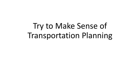Try to Make Sense of Transportation Planning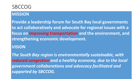#### SBCCOG

#### **MISSION**

**Provide a leadership forum for South Bay local governments to act collaboratively and advocate for regional issues with a focus on improving transportation and the environment, and strengthening economic development.**

#### *VISION*

*The South Bay region is environmentally sustainable, with reduced congestion and a healthy economy, due to the local government collaborations and advocacy facilitated and supported by SBCCOG.*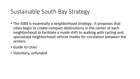## Sustainable South Bay Strategy

- The SSBS is essentially a *neighborhood strategy*. It proposes that cities begin to create compact destinations in the center of each neighborhood to facilitate a mode shift to walking with cycling and specialized neighborhood vehicle modes for circulation between the centers.
- Guide to cities
- Voluntary, unfunded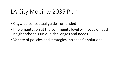## LA City Mobility 2035 Plan

- Citywide conceptual guide unfunded
- Implementation at the community level will focus on each neighborhood's unique challenges and needs
- Variety of policies and strategies, no specific solutions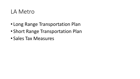#### LA Metro

- Long Range Transportation Plan
- Short Range Transportation Plan
- Sales Tax Measures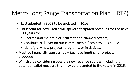## Metro Long Range Transportation Plan (LRTP)

- Last adopted in 2009 to be updated in 2016
- Blueprint for how Metro will spend anticipated revenues for the next 30 years to:
	- Operate and maintain our current and planned system;
	- Continue to deliver on our commitments from previous plans; and
	- Identify any new projects, programs, or initiatives.
- Must be financially constrained i.e. have funding for projects proposed
- Will also be considering possible new revenue sources, including a potential ballot measure that may be presented to the voters in 2016.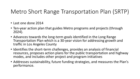## Metro Short Range Transportation Plan (SRTP)

- Last one done 2014
- Ten-year action plan that guides Metro programs and projects (through 2024).
- Advances towards the long-term goals identified in the Long Range Transportation Plan which is a 30-year vision for addressing growth and traffic in Los Angeles County
- Identifies the short-term challenges, provides an analysis of financial resources, proposes action plans for the public transportation and highway modes, and includes other project and program initiatives
- Addresses sustainability, future funding strategies, and measures the Plan's performance.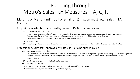### Planning through Metro's Sales Tax Measures – A, C, R

- Majority of Metro funding, all one-half of 1% tax on most retail sales in LA County
- Proposition A sales tax approved by voters in 1980, no sunset clause
	- 25% local return to cities by population
		- Must be used exclusively to benefit public transit related to fixed route and paratransit services, Transportation Demand Management, Transportation Systems Management and fare subsidy programs that exclusively benefit transit are all eligible uses
		- May be traded to other Jurisdictions in exchange for general or other funds.
	- 35% rail development
	- 40% discretionary almost all of which is used to fund bus service provided by Metro and 16 other municipal bus operators within the County

#### • Proposition C sales tax - approved by voters in 1990, no sunset clause

- 20% local return to cities by population
	- To benefit public transit, as described above, but also provides an expanded list of eligible project expenditures including, Congestion Management Programs, bikeways and bike lanes, street improvements supporting public transit service, and Pavement Management System projects.
	- Cannot be traded.
- 40% construction and operation of the bus transit and rail system
- 5% expand rail and bus security
- 10% for commuter rail, construction of transit centers, park and ride lots and freeway bus stops
- 25% for transit-related improvements to freeways and state highways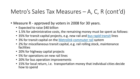## Metro's Sales Tax Measures – A, C, R (cont'd)

- Measure R approved by voters in 2008 for 30 years.
	- Expected to raise \$40 billion
	- 1.5% for administrative costs, the remaining money must be spent as follows:
	- 35% for transit capital projects, e.g. new rail and [bus rapid transit](https://en.wikipedia.org/wiki/Bus_rapid_transit) lines
	- 3% for transit capital on the [Metrolink](https://en.wikipedia.org/wiki/Metrolink_(Southern_California)) [commuter rail](https://en.wikipedia.org/wiki/Commuter_rail) system
	- 2% for miscellaneous transit capital, e.g. rail rolling stock, maintenance facilities
	- 20% for highway capital projects
	- 5% for operations on new rail lines
	- 20% for bus operation improvements
	- 15% for local return, i.e. transportation money that individual cities decide how to spend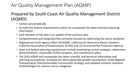#### Air Quality Management Plan (AQMP)

#### Prepared by South Coast Air Quality Management District (AQMD)

- Comes out periodically
- To meet the federal requirements and/or to incorporate the latest technical planning information
- Each iteration of the plan is an update of the previous plan
- Comprehensive and integrated Plan primarily focused on addressing the ozone standards
- Regional and multi-agency effort (SCAQMD, California Air Resources Board, Southern California Association of Governments (SCAG) and US Environmental Protection Agency)
- State and federal planning requirements include developing control strategies, attainment demonstrations, reasonable further progress, and maintenance plans
- The 2016 AQMP will incorporate the latest scientific and technical information and planning assumptions, including the latest applicable growth assumptions, SCAG Regional Transportation Plan/Sustainable Communities Strategy, and updated emission inventory methodologies for various source categories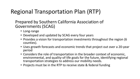# Regional Transportation Plan (RTP)

Prepared by Southern California Association of Governments (SCAG)

- Long-range
- Developed and updated by SCAG every four years
- Provides a vision for transportation investments throughout the region (6 counties).
- Uses growth forecasts and economic trends that project out over a 20-year period
- Considers the role of transportation in the broader context of economic, environmental, and quality-of-life goals for the future, identifying regional transportation strategies to address our mobility needs.
- Projects must be in the RTP to receive state & federal funding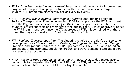- • **STIP –** *State Transportation Improvement Program*: a multi-year capital improvement program of transportation projects, funded with revenues from a wide range of sources. STIP programming generally occurs every two years.
- **RTIP -** *Regional Transportation Improvement Program*: State funding program. Regional Transportation Planning Agencies (SCAG for us) prepare the RTIP consistent with the Regional Transportation Plan *(see RTP)* to reflect priorities identified by counties, project sponsors and members of the public. The CTC must approve or reject the RTIP list in its entirety. Once the CTC approves an RTIP, it is combined with those from other regions to make up 75% of the funds in the STIP.
- **RTP -** *Regional Transportation Plan*: The blueprint to guide the region's transportation development for a 20-year period. In Ventura, Los Angeles, San Bernardino, Orange, Riverside, and Imperial Counties, the RTP is prepared by SCAG. The plan is based on projections of the economy, population growth, and travel demand. State and federal law require the document.
- **RTPA -** *Regional Transportation Planning Agency -* **SCAG:** A state-designated agency responsible for preparing the SRTP, the LRTP, and the RTIP, administering state funds, and other tasks. Metro is the RTPA for Los Angeles County.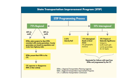#### **State Transportation Improvement Program (STIP)**